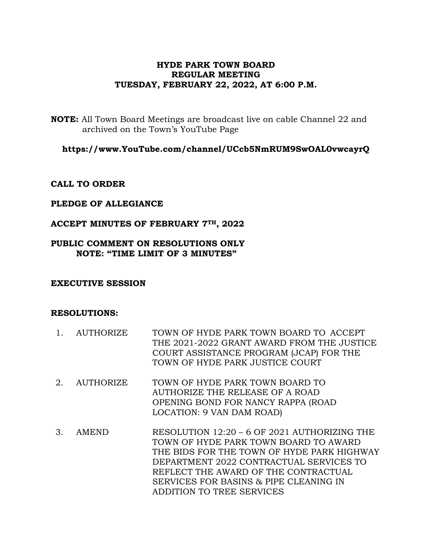## **HYDE PARK TOWN BOARD REGULAR MEETING TUESDAY, FEBRUARY 22, 2022, AT 6:00 P.M.**

**NOTE:** All Town Board Meetings are broadcast live on cable Channel 22 and archived on the Town's YouTube Page

**https://www.YouTube.com/channel/UCcb5NmRUM9SwOAL0vwcayrQ**

### **CALL TO ORDER**

### **PLEDGE OF ALLEGIANCE**

#### **ACCEPT MINUTES OF FEBRUARY 7TH, 2022**

### **PUBLIC COMMENT ON RESOLUTIONS ONLY NOTE: "TIME LIMIT OF 3 MINUTES"**

#### **EXECUTIVE SESSION**

#### **RESOLUTIONS:**

- 1. AUTHORIZE TOWN OF HYDE PARK TOWN BOARD TO ACCEPT THE 2021-2022 GRANT AWARD FROM THE JUSTICE COURT ASSISTANCE PROGRAM (JCAP) FOR THE TOWN OF HYDE PARK JUSTICE COURT
- 2. AUTHORIZE TOWN OF HYDE PARK TOWN BOARD TO AUTHORIZE THE RELEASE OF A ROAD OPENING BOND FOR NANCY RAPPA (ROAD LOCATION: 9 VAN DAM ROAD)
- 3. AMEND RESOLUTION 12:20 6 OF 2021 AUTHORIZING THE TOWN OF HYDE PARK TOWN BOARD TO AWARD THE BIDS FOR THE TOWN OF HYDE PARK HIGHWAY DEPARTMENT 2022 CONTRACTUAL SERVICES TO REFLECT THE AWARD OF THE CONTRACTUAL SERVICES FOR BASINS & PIPE CLEANING IN ADDITION TO TREE SERVICES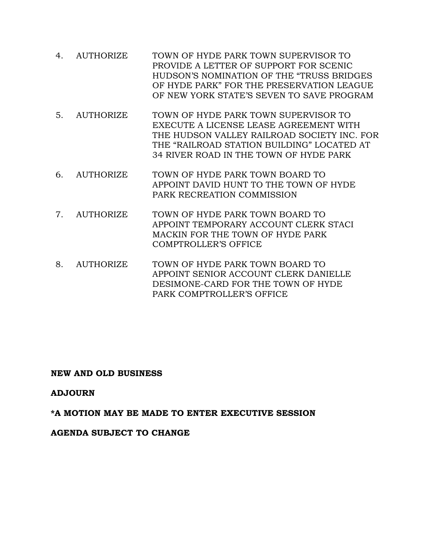- 4. AUTHORIZE TOWN OF HYDE PARK TOWN SUPERVISOR TO PROVIDE A LETTER OF SUPPORT FOR SCENIC HUDSON'S NOMINATION OF THE "TRUSS BRIDGES OF HYDE PARK" FOR THE PRESERVATION LEAGUE OF NEW YORK STATE'S SEVEN TO SAVE PROGRAM
- 5. AUTHORIZE TOWN OF HYDE PARK TOWN SUPERVISOR TO EXECUTE A LICENSE LEASE AGREEMENT WITH THE HUDSON VALLEY RAILROAD SOCIETY INC. FOR THE "RAILROAD STATION BUILDING" LOCATED AT 34 RIVER ROAD IN THE TOWN OF HYDE PARK
- 6. AUTHORIZE TOWN OF HYDE PARK TOWN BOARD TO APPOINT DAVID HUNT TO THE TOWN OF HYDE PARK RECREATION COMMISSION
- 7. AUTHORIZE TOWN OF HYDE PARK TOWN BOARD TO APPOINT TEMPORARY ACCOUNT CLERK STACI MACKIN FOR THE TOWN OF HYDE PARK COMPTROLLER'S OFFICE
- 8. AUTHORIZE TOWN OF HYDE PARK TOWN BOARD TO APPOINT SENIOR ACCOUNT CLERK DANIELLE DESIMONE-CARD FOR THE TOWN OF HYDE PARK COMPTROLLER'S OFFICE

### **NEW AND OLD BUSINESS**

## **ADJOURN**

## **\*A MOTION MAY BE MADE TO ENTER EXECUTIVE SESSION**

### **AGENDA SUBJECT TO CHANGE**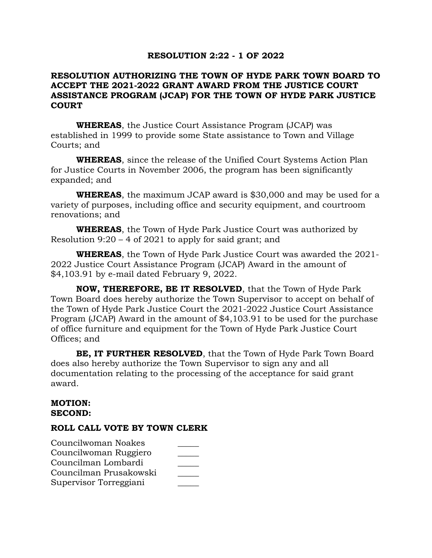### **RESOLUTION 2:22 - 1 OF 2022**

### **RESOLUTION AUTHORIZING THE TOWN OF HYDE PARK TOWN BOARD TO ACCEPT THE 2021-2022 GRANT AWARD FROM THE JUSTICE COURT ASSISTANCE PROGRAM (JCAP) FOR THE TOWN OF HYDE PARK JUSTICE COURT**

**WHEREAS**, the Justice Court Assistance Program (JCAP) was established in 1999 to provide some State assistance to Town and Village Courts; and

**WHEREAS**, since the release of the Unified Court Systems Action Plan for Justice Courts in November 2006, the program has been significantly expanded; and

**WHEREAS**, the maximum JCAP award is \$30,000 and may be used for a variety of purposes, including office and security equipment, and courtroom renovations; and

**WHEREAS**, the Town of Hyde Park Justice Court was authorized by Resolution 9:20 – 4 of 2021 to apply for said grant; and

**WHEREAS**, the Town of Hyde Park Justice Court was awarded the 2021- 2022 Justice Court Assistance Program (JCAP) Award in the amount of \$4,103.91 by e-mail dated February 9, 2022.

**NOW, THEREFORE, BE IT RESOLVED**, that the Town of Hyde Park Town Board does hereby authorize the Town Supervisor to accept on behalf of the Town of Hyde Park Justice Court the 2021-2022 Justice Court Assistance Program (JCAP) Award in the amount of \$4,103.91 to be used for the purchase of office furniture and equipment for the Town of Hyde Park Justice Court Offices; and

**BE, IT FURTHER RESOLVED**, that the Town of Hyde Park Town Board does also hereby authorize the Town Supervisor to sign any and all documentation relating to the processing of the acceptance for said grant award.

### **MOTION: SECOND:**

| Councilwoman Noakes    |  |
|------------------------|--|
| Councilwoman Ruggiero  |  |
| Councilman Lombardi    |  |
| Councilman Prusakowski |  |
| Supervisor Torreggiani |  |
|                        |  |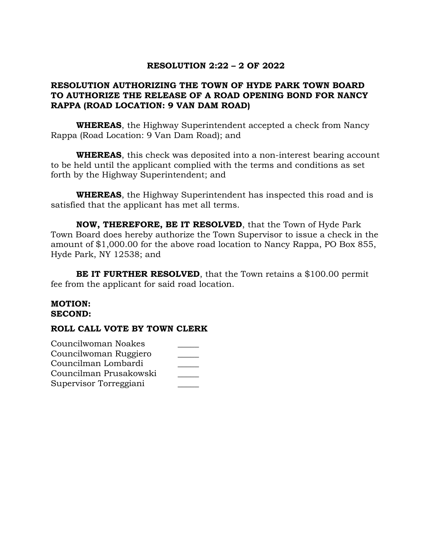## **RESOLUTION 2:22 – 2 OF 2022**

# **RESOLUTION AUTHORIZING THE TOWN OF HYDE PARK TOWN BOARD TO AUTHORIZE THE RELEASE OF A ROAD OPENING BOND FOR NANCY RAPPA (ROAD LOCATION: 9 VAN DAM ROAD)**

**WHEREAS**, the Highway Superintendent accepted a check from Nancy Rappa (Road Location: 9 Van Dam Road); and

**WHEREAS**, this check was deposited into a non-interest bearing account to be held until the applicant complied with the terms and conditions as set forth by the Highway Superintendent; and

**WHEREAS**, the Highway Superintendent has inspected this road and is satisfied that the applicant has met all terms.

**NOW, THEREFORE, BE IT RESOLVED**, that the Town of Hyde Park Town Board does hereby authorize the Town Supervisor to issue a check in the amount of \$1,000.00 for the above road location to Nancy Rappa, PO Box 855, Hyde Park, NY 12538; and

**BE IT FURTHER RESOLVED**, that the Town retains a \$100.00 permit fee from the applicant for said road location.

### **MOTION: SECOND:**

| Councilwoman Noakes    |  |
|------------------------|--|
| Councilwoman Ruggiero  |  |
| Councilman Lombardi    |  |
| Councilman Prusakowski |  |
| Supervisor Torreggiani |  |
|                        |  |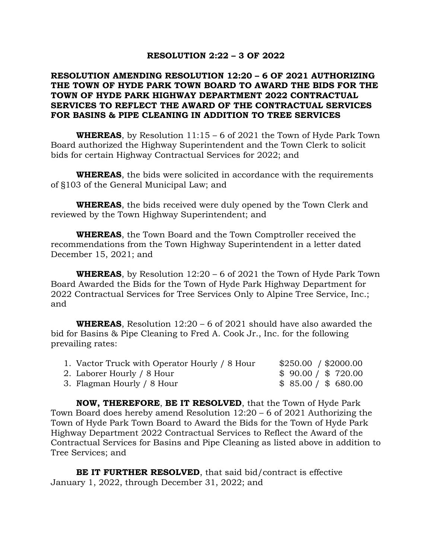### **RESOLUTION 2:22 – 3 OF 2022**

### **RESOLUTION AMENDING RESOLUTION 12:20 – 6 OF 2021 AUTHORIZING THE TOWN OF HYDE PARK TOWN BOARD TO AWARD THE BIDS FOR THE TOWN OF HYDE PARK HIGHWAY DEPARTMENT 2022 CONTRACTUAL SERVICES TO REFLECT THE AWARD OF THE CONTRACTUAL SERVICES FOR BASINS & PIPE CLEANING IN ADDITION TO TREE SERVICES**

**WHEREAS**, by Resolution 11:15 – 6 of 2021 the Town of Hyde Park Town Board authorized the Highway Superintendent and the Town Clerk to solicit bids for certain Highway Contractual Services for 2022; and

**WHEREAS**, the bids were solicited in accordance with the requirements of §103 of the General Municipal Law; and

**WHEREAS**, the bids received were duly opened by the Town Clerk and reviewed by the Town Highway Superintendent; and

**WHEREAS**, the Town Board and the Town Comptroller received the recommendations from the Town Highway Superintendent in a letter dated December 15, 2021; and

**WHEREAS**, by Resolution 12:20 – 6 of 2021 the Town of Hyde Park Town Board Awarded the Bids for the Town of Hyde Park Highway Department for 2022 Contractual Services for Tree Services Only to Alpine Tree Service, Inc.; and

**WHEREAS**, Resolution 12:20 – 6 of 2021 should have also awarded the bid for Basins & Pipe Cleaning to Fred A. Cook Jr., Inc. for the following prevailing rates:

| 1. Vactor Truck with Operator Hourly / 8 Hour | \$250.00 / \$2000.00 |
|-----------------------------------------------|----------------------|
| 2. Laborer Hourly / 8 Hour                    | \$90.00 / \$720.00   |
| 3. Flagman Hourly / 8 Hour                    | \$85.00 / \$680.00   |

**NOW, THEREFORE**, **BE IT RESOLVED**, that the Town of Hyde Park Town Board does hereby amend Resolution 12:20 – 6 of 2021 Authorizing the Town of Hyde Park Town Board to Award the Bids for the Town of Hyde Park Highway Department 2022 Contractual Services to Reflect the Award of the Contractual Services for Basins and Pipe Cleaning as listed above in addition to Tree Services; and

**BE IT FURTHER RESOLVED**, that said bid/contract is effective January 1, 2022, through December 31, 2022; and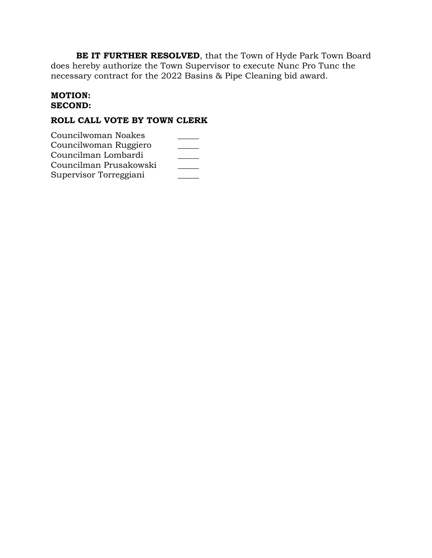**BE IT FURTHER RESOLVED**, that the Town of Hyde Park Town Board does hereby authorize the Town Supervisor to execute Nunc Pro Tunc the necessary contract for the 2022 Basins & Pipe Cleaning bid award.

### **MOTION: SECOND:**

# **ROLL CALL VOTE BY TOWN CLERK**

Councilwoman Noakes \_\_\_\_\_ Councilwoman Ruggiero \_\_\_\_\_ Councilman Lombardi \_\_\_\_\_ Councilman Prusakowski \_\_\_\_\_ Supervisor Torreggiani \_\_\_\_\_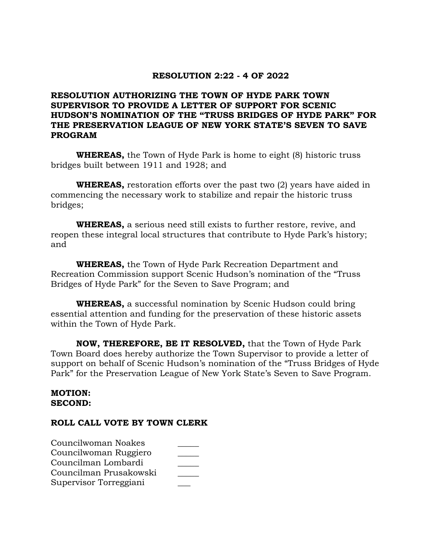### **RESOLUTION 2:22 - 4 OF 2022**

## **RESOLUTION AUTHORIZING THE TOWN OF HYDE PARK TOWN SUPERVISOR TO PROVIDE A LETTER OF SUPPORT FOR SCENIC HUDSON'S NOMINATION OF THE "TRUSS BRIDGES OF HYDE PARK" FOR THE PRESERVATION LEAGUE OF NEW YORK STATE'S SEVEN TO SAVE PROGRAM**

**WHEREAS,** the Town of Hyde Park is home to eight (8) historic truss bridges built between 1911 and 1928; and

**WHEREAS,** restoration efforts over the past two (2) years have aided in commencing the necessary work to stabilize and repair the historic truss bridges;

**WHEREAS,** a serious need still exists to further restore, revive, and reopen these integral local structures that contribute to Hyde Park's history; and

**WHEREAS,** the Town of Hyde Park Recreation Department and Recreation Commission support Scenic Hudson's nomination of the "Truss Bridges of Hyde Park" for the Seven to Save Program; and

**WHEREAS,** a successful nomination by Scenic Hudson could bring essential attention and funding for the preservation of these historic assets within the Town of Hyde Park.

**NOW, THEREFORE, BE IT RESOLVED,** that the Town of Hyde Park Town Board does hereby authorize the Town Supervisor to provide a letter of support on behalf of Scenic Hudson's nomination of the "Truss Bridges of Hyde Park" for the Preservation League of New York State's Seven to Save Program.

#### **MOTION: SECOND:**

| Councilwoman Noakes    |  |
|------------------------|--|
| Councilwoman Ruggiero  |  |
| Councilman Lombardi    |  |
| Councilman Prusakowski |  |
| Supervisor Torreggiani |  |
|                        |  |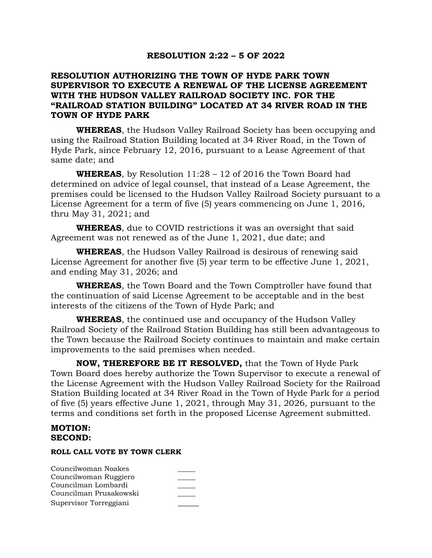### **RESOLUTION 2:22 – 5 OF 2022**

### **RESOLUTION AUTHORIZING THE TOWN OF HYDE PARK TOWN SUPERVISOR TO EXECUTE A RENEWAL OF THE LICENSE AGREEMENT WITH THE HUDSON VALLEY RAILROAD SOCIETY INC. FOR THE "RAILROAD STATION BUILDING" LOCATED AT 34 RIVER ROAD IN THE TOWN OF HYDE PARK**

**WHEREAS**, the Hudson Valley Railroad Society has been occupying and using the Railroad Station Building located at 34 River Road, in the Town of Hyde Park, since February 12, 2016, pursuant to a Lease Agreement of that same date; and

**WHEREAS**, by Resolution 11:28 – 12 of 2016 the Town Board had determined on advice of legal counsel, that instead of a Lease Agreement, the premises could be licensed to the Hudson Valley Railroad Society pursuant to a License Agreement for a term of five (5) years commencing on June 1, 2016, thru May 31, 2021; and

**WHEREAS**, due to COVID restrictions it was an oversight that said Agreement was not renewed as of the June 1, 2021, due date; and

**WHEREAS**, the Hudson Valley Railroad is desirous of renewing said License Agreement for another five (5) year term to be effective June 1, 2021, and ending May 31, 2026; and

**WHEREAS**, the Town Board and the Town Comptroller have found that the continuation of said License Agreement to be acceptable and in the best interests of the citizens of the Town of Hyde Park; and

**WHEREAS**, the continued use and occupancy of the Hudson Valley Railroad Society of the Railroad Station Building has still been advantageous to the Town because the Railroad Society continues to maintain and make certain improvements to the said premises when needed.

**NOW, THEREFORE BE IT RESOLVED,** that the Town of Hyde Park Town Board does hereby authorize the Town Supervisor to execute a renewal of the License Agreement with the Hudson Valley Railroad Society for the Railroad Station Building located at 34 River Road in the Town of Hyde Park for a period of five (5) years effective June 1, 2021, through May 31, 2026, pursuant to the terms and conditions set forth in the proposed License Agreement submitted.

### **MOTION: SECOND:**

| Councilwoman Noakes    |  |
|------------------------|--|
| Councilwoman Ruggiero  |  |
| Councilman Lombardi    |  |
| Councilman Prusakowski |  |
| Supervisor Torreggiani |  |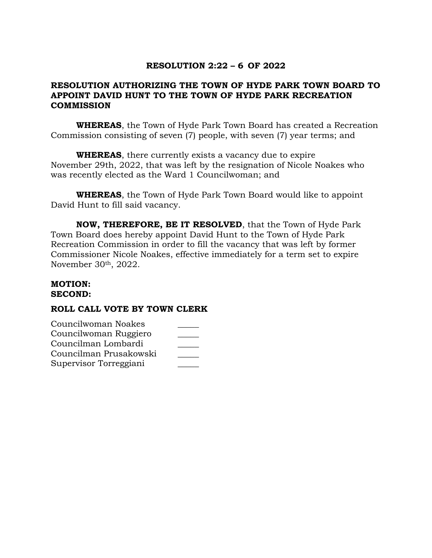# **RESOLUTION 2:22 – 6 OF 2022**

## **RESOLUTION AUTHORIZING THE TOWN OF HYDE PARK TOWN BOARD TO APPOINT DAVID HUNT TO THE TOWN OF HYDE PARK RECREATION COMMISSION**

**WHEREAS**, the Town of Hyde Park Town Board has created a Recreation Commission consisting of seven (7) people, with seven (7) year terms; and

**WHEREAS**, there currently exists a vacancy due to expire November 29th, 2022, that was left by the resignation of Nicole Noakes who was recently elected as the Ward 1 Councilwoman; and

**WHEREAS**, the Town of Hyde Park Town Board would like to appoint David Hunt to fill said vacancy.

**NOW, THEREFORE, BE IT RESOLVED**, that the Town of Hyde Park Town Board does hereby appoint David Hunt to the Town of Hyde Park Recreation Commission in order to fill the vacancy that was left by former Commissioner Nicole Noakes, effective immediately for a term set to expire November 30th, 2022.

#### **MOTION: SECOND:**

| Councilwoman Noakes    |  |
|------------------------|--|
| Councilwoman Ruggiero  |  |
| Councilman Lombardi    |  |
| Councilman Prusakowski |  |
| Supervisor Torreggiani |  |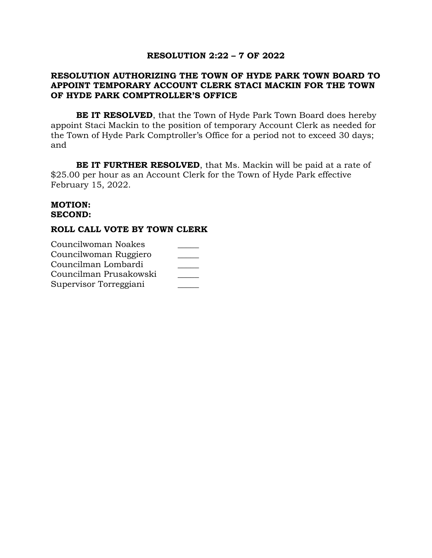### **RESOLUTION 2:22 – 7 OF 2022**

### **RESOLUTION AUTHORIZING THE TOWN OF HYDE PARK TOWN BOARD TO APPOINT TEMPORARY ACCOUNT CLERK STACI MACKIN FOR THE TOWN OF HYDE PARK COMPTROLLER'S OFFICE**

**BE IT RESOLVED**, that the Town of Hyde Park Town Board does hereby appoint Staci Mackin to the position of temporary Account Clerk as needed for the Town of Hyde Park Comptroller's Office for a period not to exceed 30 days; and

**BE IT FURTHER RESOLVED**, that Ms. Mackin will be paid at a rate of \$25.00 per hour as an Account Clerk for the Town of Hyde Park effective February 15, 2022.

#### **MOTION: SECOND:**

### **ROLL CALL VOTE BY TOWN CLERK**

Councilwoman Noakes \_\_\_\_\_ Councilwoman Ruggiero \_\_\_\_\_ Councilman Lombardi \_\_\_\_\_ Councilman Prusakowski \_\_\_\_\_ Supervisor Torreggiani \_\_\_\_\_